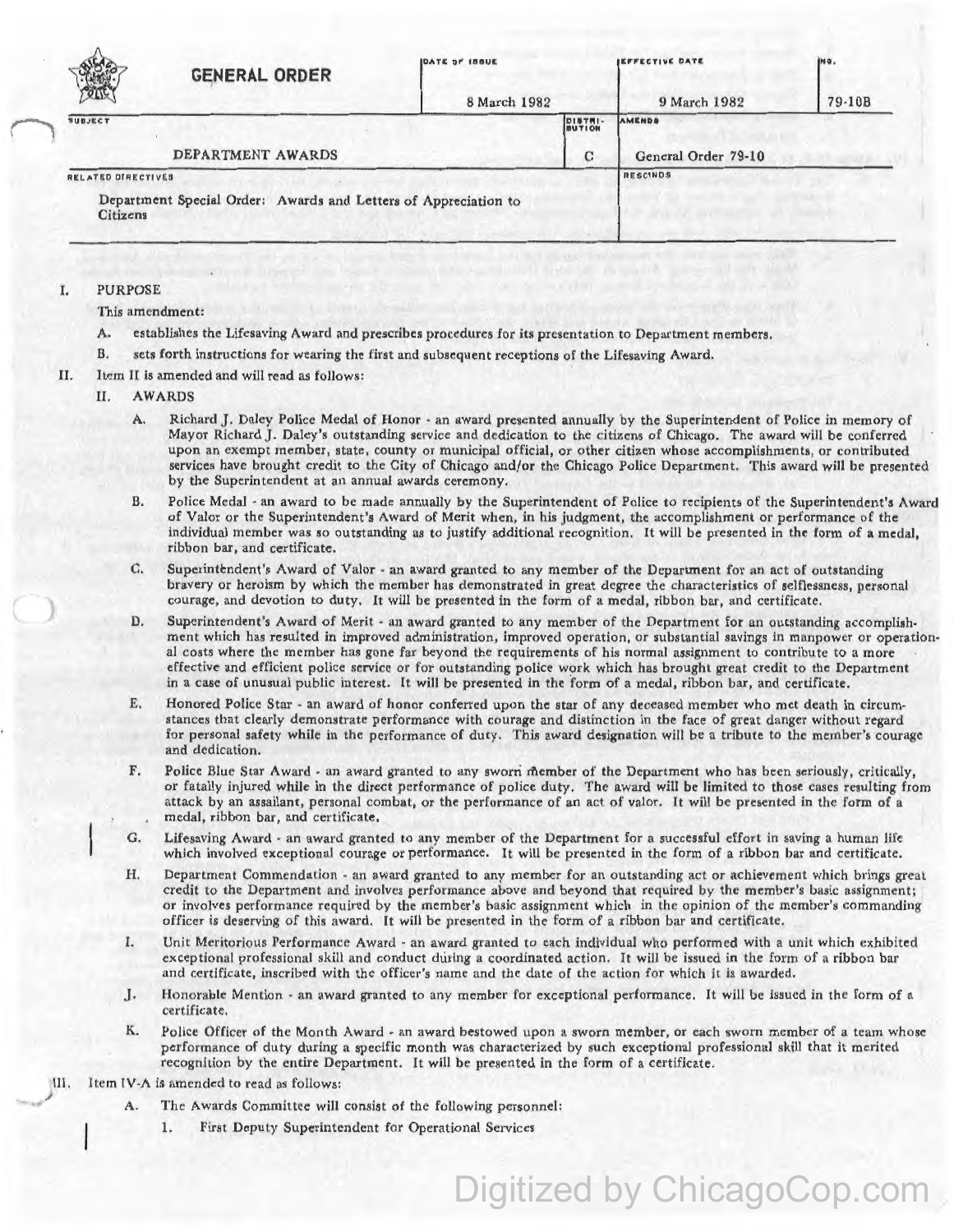| $Q_{11}Q$          | <b>GENERAL ORDER</b>                                            | <b>IDATE OF IBBUE</b> |                   | <b>IEFFECTIVE DATE</b> | INO.   |
|--------------------|-----------------------------------------------------------------|-----------------------|-------------------|------------------------|--------|
|                    |                                                                 | 8 March 1982          |                   | 9 March 1982           | 79-10B |
| <b>SUBJECT</b>     |                                                                 |                       | DISTRI-<br>BUTION | AMENDS                 |        |
| DEPARTMENT AWARDS  |                                                                 |                       | C                 | General Order 79-10    |        |
| RELATED DIRECTIVES |                                                                 |                       |                   | <b>RESCINDS</b>        |        |
| <b>Citizens</b>    | Department Special Order: Awards and Letters of Appreciation to |                       |                   |                        |        |

## I. PURPOSE

This amendment:

- A. establishes the Lifesaving Award and prescribes procedures for its presentation to Department members.
- B. sets forth instructions for wearing the first and subsequent receptions of the Lifesaving Award.
- II. Item II is amended and will read as follows:

## II. AWARDS

- A. Richard J. Daley Police Medal of Honor · an award presented annually by the Superintendent of Police in memory of Mayor Richard J. Daley's outstanding service and dedication to the citizens of Chicago. The award will be conferred upon an exempt member, state, county or municipal official, or other citizen whose accomplishments, or contributed services have brought credit to the City of Chicago and/or the Chicago Police Department. This award will be presented by the Superintendent at an annual awards ceremony.
- B. Police Medal ·an award to be made annually by the Superintendent of Police to recipients of the Superintendent's Award of Valor or the Superintendent's Award of Merit when, in his judgment, the accomplishment or performance of the individual member was so outstanding as to justify additional recognition. It will be presented in the form of a medal, ribbon bar, and certificate.
- C. Superintendent's Award of Valor an award granted to any member of the Department for an act of outstanding bravery or heroism by which the member has demonstrated in great degree the characteristics of selflessness, personal courage, and devotion to duty. It will be presented in the form of a medal, ribbon bar, and certificate.
- D. Superintendent's Award of Merit an award granted to any member of the Department for an outstanding accomplishment which has resulted in improved administration, improved operation, or substantial savings in manpower or operational costs where the member has gone far beyond the requirements of his normal assignment to contribute to a more effective and efficient police service or for outstanding police work which has brought great credit to the Department in a case of unusual public interest. It will be presented in the form of a medal, ribbon bar, and certificate.
- E. Honored Police Star · an award of honor conferred upon the star of any deceased member who met death in circumstances that clearly demonstrate performance with courage and distinction in the face of great danger without regard for personal safety while in the performance of duty. This award designation will be a tribute to the member's courage and dedication.
- f. Police Blue Star Award an award granted to any sworn member of the Department who has been seriously, critically, or fatally injured while in the direct performance of police duty. The award will be limited to those cases resulting from attack by an assailant, personal combat, or the performance of an act of valor. It will be presented in the form of a medal, ribbon bar, and certificate.
- G. Lifesaving Award an award granted to any member of the Department for a successful effort in saving a human life which involved exceptional courage or performance. It will be presented in the form of a ribbon bar and certificate.
- H. Department Commendation · an award granted to any member for an outstanding act or achievement which brings great credit to the Department and involves performance above and beyond that required by the member's basic assignment; or involves performance required by the member's basic assignment which in the opinion of the member's commanding officer is deserving of this award. It will be presented in the form of a ribbon bar and certificate.
- I. Unit Meritorious Performance Award an award granted to each individual who performed with a unit which exhibited exceptional professional skill and conduct during a coordinated action. It will be issued in the form of a ribbon bar and certificate, inscribed with the officer's name and the date of the action for which it is awarded.
- J. Honorable Mention an award granted to any member for exceptional performance. It will be issued in the form of a certificate.
- K. Police Officer of the Month Award an award bestowed upon a sworn member, or each sworn member of a team whose performance of duty during a specific month was characterized by such exceptional professional skill that it merited recognition by the entire Department. It will be presented in the form of a certificate.

Digitized by ChicagoCop.com

III. Item TV-A is amended to read as follows:

- The Awards Committee will consist of the following personnel:
	- 1. First Deputy Superintendent for Operational Services